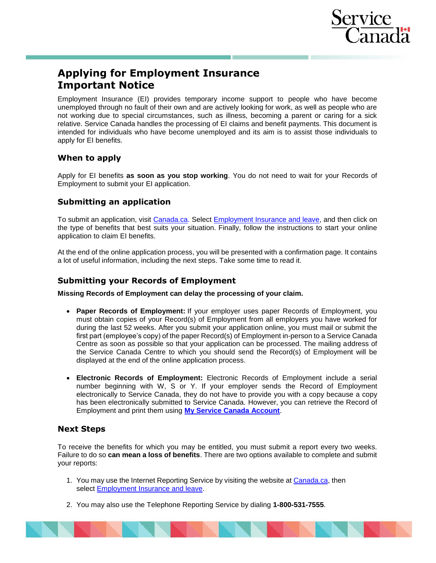

# **Applying for Employment Insurance Important Notice**

Employment Insurance (EI) provides temporary income support to people who have become unemployed through no fault of their own and are actively looking for work, as well as people who are not working due to special circumstances, such as illness, becoming a parent or caring for a sick relative. Service Canada handles the processing of EI claims and benefit payments. This document is intended for individuals who have become unemployed and its aim is to assist those individuals to apply for EI benefits.

# **When to apply**

Apply for EI benefits **as soon as you stop working**. You do not need to wait for your Records of Employment to submit your EI application.

# **Submitting an application**

To submit an application, visit [Canada.ca.](http://www.canada.ca/) Select [Employment Insurance and leave,](https://www.canada.ca/en/services/benefits/ei.html) and then click on the type of benefits that best suits your situation. Finally, follow the instructions to start your online application to claim EI benefits.

At the end of the online application process, you will be presented with a confirmation page. It contains a lot of useful information, including the next steps. Take some time to read it.

# **Submitting your Records of Employment**

**Missing Records of Employment can delay the processing of your claim.**

- **Paper Records of Employment:** If your employer uses paper Records of Employment, you must obtain copies of your Record(s) of Employment from all employers you have worked for during the last 52 weeks. After you submit your application online, you must mail or submit the first part (employee's copy) of the paper Record(s) of Employment in-person to a Service Canada Centre as soon as possible so that your application can be processed. The mailing address of the Service Canada Centre to which you should send the Record(s) of Employment will be displayed at the end of the online application process.
- **Electronic Records of Employment:** Electronic Records of Employment include a serial number beginning with W, S or Y. If your employer sends the Record of Employment electronically to Service Canada, they do not have to provide you with a copy because a copy has been electronically submitted to Service Canada. However, you can retrieve the Record of Employment and print them using **[My Service Canada Account](https://www.canada.ca/en/employment-social-development/services/my-account.html)**.

# **Next Steps**

To receive the benefits for which you may be entitled, you must submit a report every two weeks. Failure to do so **can mean a loss of benefits**. There are two options available to complete and submit your reports:

- 1. You may use the Internet Reporting Service by visiting the website at [Canada.ca,](https://www.canada.ca/en.html) then select [Employment Insurance and leave.](https://www.canada.ca/en/services/benefits/ei.html)
- 2. You may also use the Telephone Reporting Service by dialing **1-800-531-7555**.